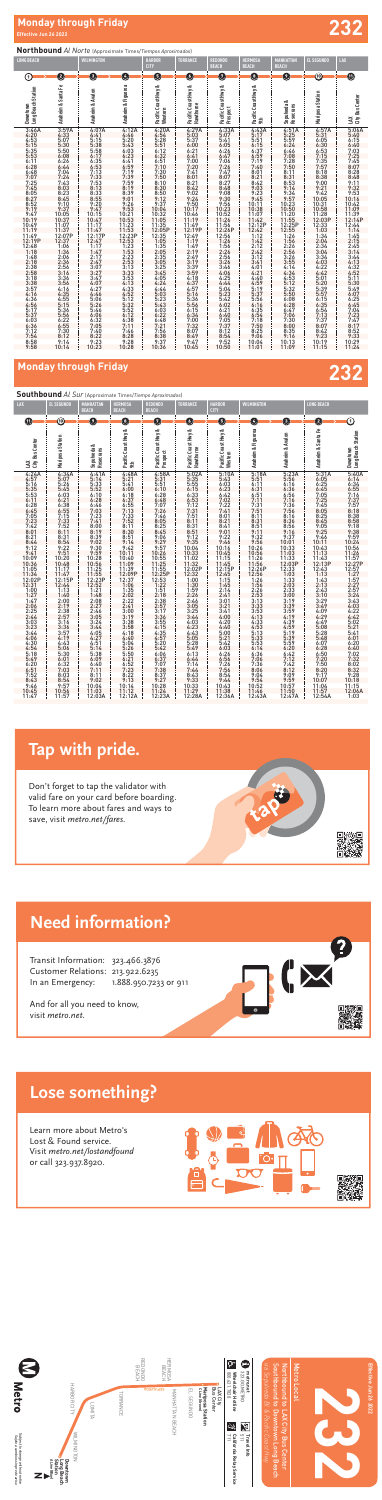

Subject to change without notice *Sujeto a cambios sin previo aviso*

Subject to change without notice<br>*Sujeto a cambios sin previo aviso* 

**Metro** 



# **Effective Jun 26 2022**<br>Effective Jun 26 2022

## **Northbound** *Al Norte* (Approximate Times/*Tiempos Aproximados*)

## **Lose something?**  $\Gamma$  age comothing<sup>3</sup> Lose some

## **Southbound** *Al Sur* (Approximate Times/*Tiempo Aproximados*)

| <b>LONG BEACH</b>                        |                                                                                                                                                                                                                       | WILMINGTON                                                                                                                                                                                                          |                                                                                                                                                                                                                                             | <b>HARBOR</b><br><b>CITY</b>                                                                                                                                                                              | TORRANCE                                                                                                                                                                                                                                                                | <b>REDONDO</b><br><b>BEACH</b>                                                                                                                                                                                                                                         | <b>HERMOSA</b><br><b>BEACH</b>                                                                   | <b>MANHATTAN</b><br><b>BEACH</b>                                                                                                                                                                                                                 | <b>EL SEGUNDO</b>                                                                                                                           | LAX                                                                                                                                                                                                                                                         |
|------------------------------------------|-----------------------------------------------------------------------------------------------------------------------------------------------------------------------------------------------------------------------|---------------------------------------------------------------------------------------------------------------------------------------------------------------------------------------------------------------------|---------------------------------------------------------------------------------------------------------------------------------------------------------------------------------------------------------------------------------------------|-----------------------------------------------------------------------------------------------------------------------------------------------------------------------------------------------------------|-------------------------------------------------------------------------------------------------------------------------------------------------------------------------------------------------------------------------------------------------------------------------|------------------------------------------------------------------------------------------------------------------------------------------------------------------------------------------------------------------------------------------------------------------------|--------------------------------------------------------------------------------------------------|--------------------------------------------------------------------------------------------------------------------------------------------------------------------------------------------------------------------------------------------------|---------------------------------------------------------------------------------------------------------------------------------------------|-------------------------------------------------------------------------------------------------------------------------------------------------------------------------------------------------------------------------------------------------------------|
| 0                                        | 0                                                                                                                                                                                                                     | O                                                                                                                                                                                                                   | $\bullet$                                                                                                                                                                                                                                   | 6                                                                                                                                                                                                         | O                                                                                                                                                                                                                                                                       | 0                                                                                                                                                                                                                                                                      | O                                                                                                | O                                                                                                                                                                                                                                                | $^{\textregistered}$                                                                                                                        | ⋔                                                                                                                                                                                                                                                           |
| Long Beach Station<br>Downtown           | Anaheim & Santa Fe                                                                                                                                                                                                    | Anaheim & Avalon                                                                                                                                                                                                    | Anaheim & Figueroa                                                                                                                                                                                                                          | Pacific Coast Hwy &<br>Western                                                                                                                                                                            | Pacific Coast Hwy &<br><b>Hawthorne</b>                                                                                                                                                                                                                                 | Pacific Coast Hwy &<br>Prospect                                                                                                                                                                                                                                        | Pacific Coast Hwy &<br>袁                                                                         | Sepulveda &<br>Rosecrans                                                                                                                                                                                                                         | Mariposa Station                                                                                                                            | City Bus Center<br>Ä                                                                                                                                                                                                                                        |
| $\frac{10:49}{11:19}$<br>11:19<br>12:19P | $3:59A$<br>$4:33$<br>$5:07$<br>$5:30$<br>$5:508$<br>$6:2444$<br>$444$<br>$7:243$<br>$8:25$<br>$8:45$<br>$9:10$<br>$8:25$<br>$9:10$<br>$9:37$<br>10:05<br>10:37<br>11:07<br>11:37<br>12:07P<br>$12:37$<br>1:06<br>1:36 | $4.45.38875$<br>$4.5138875$<br>$5.5553333333$<br>$6.613533333$<br>$7.73513333$<br>$8.3355$<br>$7.75833$<br>$8.520$<br>9:47<br>$10:15$<br>$10:47$<br>$\frac{11:17}{11:47}$<br>12:17P<br>12:47<br>$\frac{1:17}{1:47}$ | 4:12A<br>$4:46$<br>5:2033<br>5:4303<br>6:2415<br>6:2415<br>7:39<br>7:39<br>7:39<br>9:10<br>2:3<br>9:10<br>2:31<br>10:21<br>10:21                                                                                                            | 4:20A<br>4:54<br>5:28<br>5:51<br>5:51<br>5:51<br>6:32<br>6:51<br>7:10<br>7:50<br>7:50<br>$8:10$<br>$8:30$<br>$8:50$<br>$9:12$<br>$9:37$<br>$10:04$<br>$10:32$<br>$11:05$<br>$11:35$<br>$12:05$ P<br>12:35 | 4:29A<br>5:03<br>5:37<br>6:21<br>6:21<br>6:21<br>7:00<br>7:20<br>7:41<br>8:21<br>8:42<br>$9:024$<br>$9:24$<br>$9:50$<br>$10:17$<br>$10:46$<br>$11:19$<br>$11:49$<br>$12:19$<br>$12:19$<br>$12:49$<br>$1:19$<br>$1:49$<br>$2:19$<br>$2:49$<br>$3:39$<br>$3:39$<br>$3:59$ | 4:33A<br>5:07<br>5:41<br>6:05<br>$6:26$<br>$6:47$<br>$7:06$<br>$7:26$<br>$7:47$<br>$8:07$<br>$8:27$<br>$8:48$<br>$9:08$<br>$9:30$<br>$9:56$<br>10:23<br>10:52<br>11:26<br>11:56<br>12:26P<br>12:56<br>$1:26$<br>$1:56$<br>$2:26$<br>$2:56$<br>$3:26$<br>$3:46$<br>4:06 | 455666778889997011112121112233444445556614155566778888999011112114114114134444445555614151555565 | $4:51A$<br>$5:25$<br>$5:59$<br>$6:24$<br>$6:46$<br>$7:08$<br>$7:28$<br>$7:50$<br>8:11<br>$8:31$<br>$8:53$<br>$9:14$<br>$9:34$<br>$9:57$<br>$10:23$<br>$10:50$<br>11:20<br>12:25P<br>1:26<br>1:56<br>$2:26$<br>$2:56$<br>$3:26$<br>$3:55$<br>4:14 | $4:574$<br>$5:315$<br>$6:305$<br>$6:571.357$<br>$7:35:135$<br>$8:021$<br>$9:242$<br>$10:031$<br>$11:28$<br>$12:03$<br>$P$<br>$12:03$<br>$P$ | 5:06A<br>5:40<br>6:15<br>6:40<br>6:40<br>7:25<br>7:25<br>7:28<br>8:48<br>8:48<br>$9:11$<br>$9:32$<br>$9:53$<br>10:16<br>10:42<br>$\frac{11:09}{11:39}$<br>12:14P<br>12:44<br>$1:145$<br>$1:45$<br>$2:15$<br>$2:45$<br>$3:144$<br>$3:32$<br>$4:32$<br>$4:32$ |
|                                          | 2:06 2:36 4:56 4:55 5:56 6:7:38 114<br>10:14                                                                                                                                                                          | 2:17<br>3:3077777774:06466325334:45555566325077832223                                                                                                                                                               | $\begin{smallmatrix}11:23\ 12:53\ 11:53\ 12:53\ 13:33\ 13:33\ 13:33\ 13:34\ 14:5\ 15:5\ 15:5\ 15:5\ 15:1\ 14:28\ 12:22\ 12:53\ 13:54\ 15:5\ 15:5\ 15:5\ 15:1\ 14:5\ 12:22\ 12:22\ 12:22\ 13:1\ 14:5\ 15:5\ 15:5\ 15:5\ 15:5\ 15:5\ 15:5\ 1$ |                                                                                                                                                                                                           | $4:37$<br>$4:37$<br>$4:57$<br>$5:16$<br>$5:36$<br>$5:56$<br>$6:15$<br>$7:00$<br>$7:32$<br>$8:07$<br>$9:47$<br>$10:45$                                                                                                                                                   | $4:25$<br>$4:44$<br>$5:04$<br>$5:23$<br>$5:42$<br>$6:02$<br>$6:21$<br>$6:40$<br>$7:05$<br>$7:37$<br>8:12<br>8:54<br>9:52<br>10:50                                                                                                                                      | 6:35<br>6:35<br>6:54<br>7:18<br>7:50<br>8:25<br>9:06<br>10:04<br>11:01                           | $4:34$<br>$4:53$<br>$5:12$<br>$5:32$<br>$5:50$<br>$6:08$<br>$6:28$<br>$6:47$<br>$7:06$<br>$7:30$<br>$\begin{array}{r} 6:00 \\ 8:35 \\ 9:16 \\ 10:13 \end{array}$<br>11:09                                                                        |                                                                                                                                             | 4:32<br>5:11<br>5:30<br>5:49<br>6:25<br>6:45<br>$7:04$<br>$7:23$<br>7:47<br>$8:17$<br>$8:52$<br>$9:33$<br>$10:29$<br>$11:24$                                                                                                                                |

Transit Information: 323.466.3876 Customer Relations: 213.922.6235 In an Emergency: 1.888.950.7233 or 911

| LAX                                                                                                  | <b>EL SEGUNDO</b>                                                                                                                                                                                                                                   | MANHATTAN<br><b>BEACH</b>                                                                             | HERMOSA<br><b>BEACH</b>                                                                                                                                                                                                                                                   | REDONDO<br><b>BEACH</b>                                                                                                         | <b>TORRANCE</b>                  | <b>HARBOR</b><br><b>CITY</b>                                                                          | WILMINGTON         |                                                                                          | LONG BEACH                                                                                                                        |                                                                                                                                                                                                                              |
|------------------------------------------------------------------------------------------------------|-----------------------------------------------------------------------------------------------------------------------------------------------------------------------------------------------------------------------------------------------------|-------------------------------------------------------------------------------------------------------|---------------------------------------------------------------------------------------------------------------------------------------------------------------------------------------------------------------------------------------------------------------------------|---------------------------------------------------------------------------------------------------------------------------------|----------------------------------|-------------------------------------------------------------------------------------------------------|--------------------|------------------------------------------------------------------------------------------|-----------------------------------------------------------------------------------------------------------------------------------|------------------------------------------------------------------------------------------------------------------------------------------------------------------------------------------------------------------------------|
| (11)                                                                                                 | ⑩                                                                                                                                                                                                                                                   | Ω                                                                                                     | $\bullet$                                                                                                                                                                                                                                                                 | 0                                                                                                                               | O                                | O                                                                                                     | $\overline{a}$     | O                                                                                        | 2                                                                                                                                 | ➀                                                                                                                                                                                                                            |
|                                                                                                      |                                                                                                                                                                                                                                                     |                                                                                                       |                                                                                                                                                                                                                                                                           |                                                                                                                                 |                                  |                                                                                                       |                    |                                                                                          |                                                                                                                                   |                                                                                                                                                                                                                              |
| City Bus Center<br>ĬΜ                                                                                | Mariposa Station                                                                                                                                                                                                                                    | Sepulveda &<br>Rosecrans                                                                              | Pacific Coast Hwy &<br>9th                                                                                                                                                                                                                                                | Pacific Coast Hwy &<br>Prospect                                                                                                 | Pacific Coast Hwy &<br>Hawthorne | Pacific Coast Hwy &<br>Western                                                                        | Anaheim & Figueroa | Anaheim & Avalon                                                                         | Anaheim & Santa Fe                                                                                                                |                                                                                                                                                                                                                              |
| 4455566677788889900111212121122333344455667834455566785878788889900011322111223333446384555424555445 | $4:34A$<br>5:07<br>5:26<br>5:45<br>6:03<br>$6:21$<br>$6:38$<br>$6:55$<br>$7:15$<br>$7:33$<br>7:52<br>8:11<br>$8:31$<br>$8:54$<br>$9:22$<br>$9:51$<br>$10:20$<br>$10:48$<br>11:17<br>$\frac{11:47}{12:15P}$<br>12:44<br>1:13<br>1:40<br>2:00<br>2:19 | 45556667778888999910112121212233334445566678914113354240234033992098655324082405240224057514899011121 | 4:48A<br>5:21<br>5:41<br>5:400<br>6:18<br>6:18<br>6:13<br>7:55<br>7:13<br>7:52<br>7:52<br>$\begin{array}{r} 7:32 \ 8:30 \ 8:31 \ 8:31 \ 9:14 \ 9:42 \ 10:11 \ 10:40 \ 11:39 \ 12:02 \end{array}$<br>12:37<br>1:35<br>1:35<br>2:02<br>2:41<br>2:35<br>2:41<br>3:19<br>3:19 | 4555667778888999900011112211223333444556667788953535123889999001111221512235333444556677897251251225122111223533334445566778972 |                                  | 5:10A<br>5:43<br>6:03<br>6:23<br>6:23<br>6:42<br>7:02<br>7:22<br>7:41<br>8:21<br>8:41<br>9:22<br>9:22 |                    |                                                                                          | 5.6.6.67778888999970011111122111.42333444555666677.897002011111.41221333344455566677788889700011111111111223333444555666777889700 | MappleMg   1963.6ケアア888899992011111212.5.2.5.2.3.3.4.4.4.5.15.6.6.6アア889921111212.1.5.2.5.3.3.4.4.4.5.5.6.7ア20111122.5.2.5.3.3.4.4.4.5.5.6.7ア3088920201111122.5.2.5.2.4.0.2.4.0.2.4.0.2.4.0.3.3.3.2.111120.0.3.0.3.2.111120. |
|                                                                                                      | $\frac{2:38}{2:57}$<br>$3:16$<br>$3:36$<br>$3:57$<br>$4:19$                                                                                                                                                                                         |                                                                                                       |                                                                                                                                                                                                                                                                           |                                                                                                                                 |                                  |                                                                                                       |                    |                                                                                          |                                                                                                                                   |                                                                                                                                                                                                                              |
|                                                                                                      | $4:43$<br>$5:06$<br>$5:30$<br>6:01<br>$6:32$<br>7:03                                                                                                                                                                                                |                                                                                                       | 3:38<br>3:58<br>3:58<br>4:18<br>4:40<br>4:5:26<br>5:52<br>5:52<br>3:22<br>3:22<br>3:22<br>3:13                                                                                                                                                                            |                                                                                                                                 |                                  | 4:20<br>4:40<br>5:00<br>5:21<br>5:42<br>6:26<br>6:26<br>7:26<br>7:56<br>7:56<br>7:54<br>9:44          |                    | 4:39<br>4:59<br>5:19<br>5:39<br>5:50<br>42<br>42<br>4:20<br>7:42<br>8:12<br>9:59<br>9:59 |                                                                                                                                   |                                                                                                                                                                                                                              |
| 9:46                                                                                                 | $8:03$<br>$8:54$<br>9:57                                                                                                                                                                                                                            | 10:04                                                                                                 | 10:14                                                                                                                                                                                                                                                                     | 10:28                                                                                                                           | 10:33                            | 10:43                                                                                                 | 10:52              | 10:57                                                                                    | 11:04                                                                                                                             |                                                                                                                                                                                                                              |



# **Monday through Friday 232**

And for all you need to know, visit metro.net.

Transit Information: 323.466.3876 Customer Relations: 213.922.6235

ل Learn more about Metro's Lost & Found service. Visit metro.net/lostandfound

## **Need information? Tap with pride.**





# **Tap with pride.**

Don't forget to tap the validator with valid fare on your card before boarding. To learn more about fares and ways to save, visit metro.net/fares.